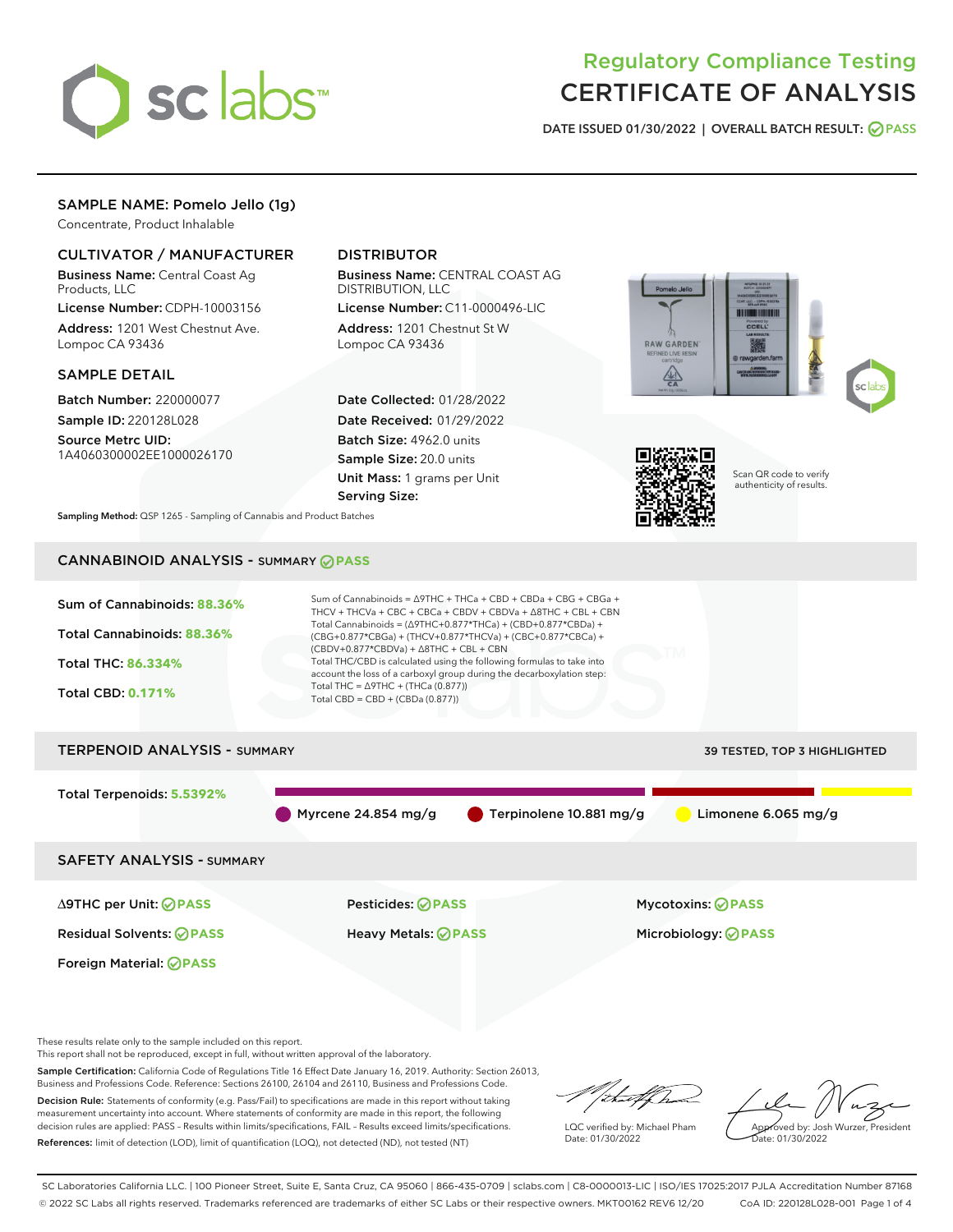

# Regulatory Compliance Testing CERTIFICATE OF ANALYSIS

DATE ISSUED 01/30/2022 | OVERALL BATCH RESULT: @ PASS

# SAMPLE NAME: Pomelo Jello (1g)

Concentrate, Product Inhalable

# CULTIVATOR / MANUFACTURER

Business Name: Central Coast Ag Products, LLC

License Number: CDPH-10003156 Address: 1201 West Chestnut Ave. Lompoc CA 93436

#### SAMPLE DETAIL

Batch Number: 220000077 Sample ID: 220128L028

Source Metrc UID: 1A4060300002EE1000026170

# DISTRIBUTOR

Business Name: CENTRAL COAST AG DISTRIBUTION, LLC

License Number: C11-0000496-LIC Address: 1201 Chestnut St W Lompoc CA 93436

Date Collected: 01/28/2022 Date Received: 01/29/2022 Batch Size: 4962.0 units Sample Size: 20.0 units Unit Mass: 1 grams per Unit Serving Size:





Scan QR code to verify authenticity of results.

Sampling Method: QSP 1265 - Sampling of Cannabis and Product Batches

# CANNABINOID ANALYSIS - SUMMARY **PASS**



This report shall not be reproduced, except in full, without written approval of the laboratory.

Sample Certification: California Code of Regulations Title 16 Effect Date January 16, 2019. Authority: Section 26013, Business and Professions Code. Reference: Sections 26100, 26104 and 26110, Business and Professions Code.

Decision Rule: Statements of conformity (e.g. Pass/Fail) to specifications are made in this report without taking measurement uncertainty into account. Where statements of conformity are made in this report, the following decision rules are applied: PASS – Results within limits/specifications, FAIL – Results exceed limits/specifications. References: limit of detection (LOD), limit of quantification (LOQ), not detected (ND), not tested (NT)

'<del>hu</del>t br

LQC verified by: Michael Pham Date: 01/30/2022

Approved by: Josh Wurzer, President ate: 01/30/2022

SC Laboratories California LLC. | 100 Pioneer Street, Suite E, Santa Cruz, CA 95060 | 866-435-0709 | sclabs.com | C8-0000013-LIC | ISO/IES 17025:2017 PJLA Accreditation Number 87168 © 2022 SC Labs all rights reserved. Trademarks referenced are trademarks of either SC Labs or their respective owners. MKT00162 REV6 12/20 CoA ID: 220128L028-001 Page 1 of 4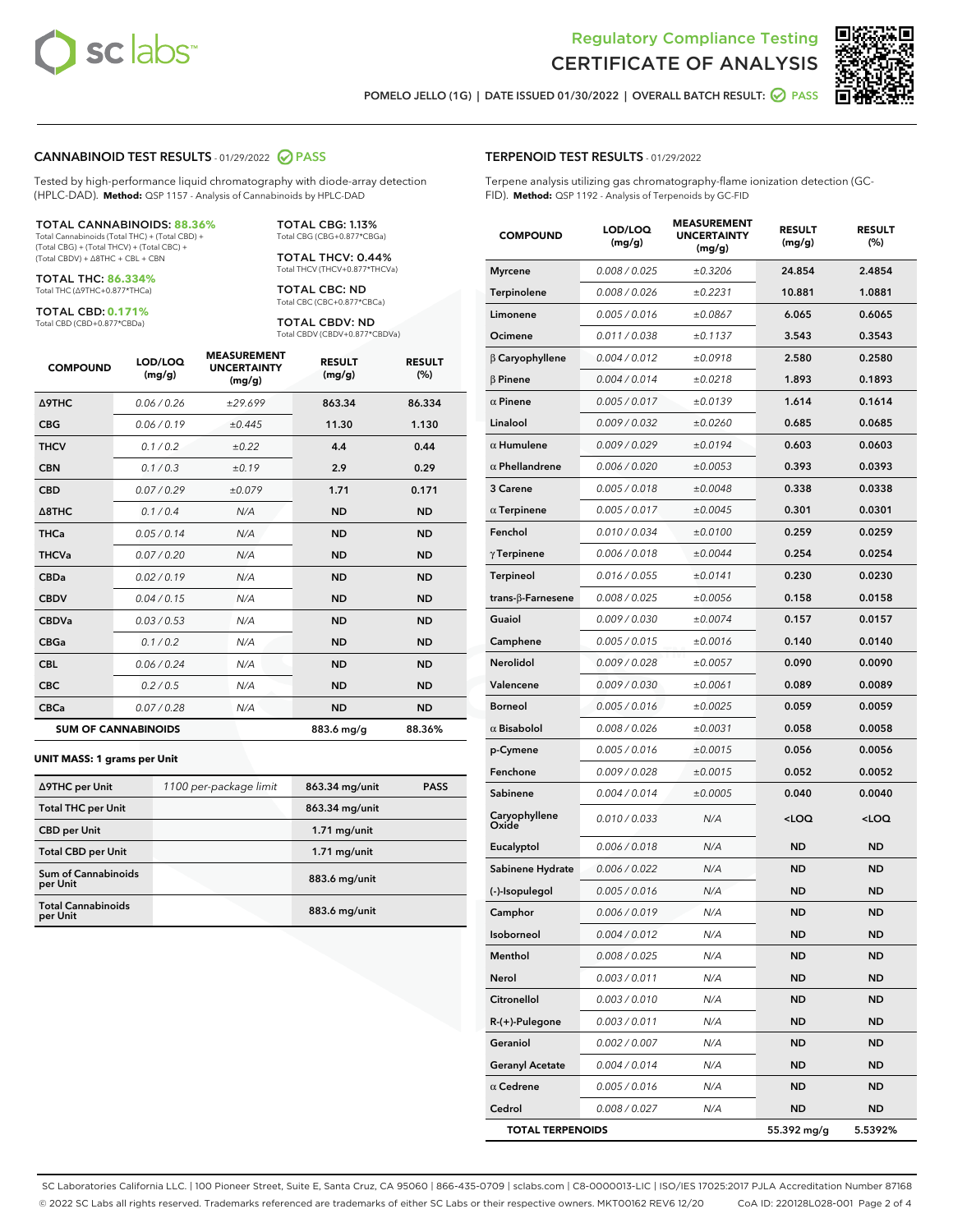



POMELO JELLO (1G) | DATE ISSUED 01/30/2022 | OVERALL BATCH RESULT: **⊘** PASS

#### CANNABINOID TEST RESULTS - 01/29/2022 2 PASS

Tested by high-performance liquid chromatography with diode-array detection (HPLC-DAD). **Method:** QSP 1157 - Analysis of Cannabinoids by HPLC-DAD

#### TOTAL CANNABINOIDS: **88.36%**

Total Cannabinoids (Total THC) + (Total CBD) + (Total CBG) + (Total THCV) + (Total CBC) + (Total CBDV) + ∆8THC + CBL + CBN

TOTAL THC: **86.334%** Total THC (∆9THC+0.877\*THCa)

TOTAL CBD: **0.171%**

Total CBD (CBD+0.877\*CBDa)

TOTAL CBG: 1.13% Total CBG (CBG+0.877\*CBGa)

TOTAL THCV: 0.44% Total THCV (THCV+0.877\*THCVa)

TOTAL CBC: ND Total CBC (CBC+0.877\*CBCa)

TOTAL CBDV: ND Total CBDV (CBDV+0.877\*CBDVa)

| <b>COMPOUND</b>            | LOD/LOQ<br>(mg/g) | <b>MEASUREMENT</b><br><b>UNCERTAINTY</b><br>(mg/g) | <b>RESULT</b><br>(mg/g) | <b>RESULT</b><br>(%) |
|----------------------------|-------------------|----------------------------------------------------|-------------------------|----------------------|
| Δ9THC                      | 0.06 / 0.26       | ±29.699                                            | 863.34                  | 86.334               |
| <b>CBG</b>                 | 0.06 / 0.19       | ±0.445                                             | 11.30                   | 1.130                |
| <b>THCV</b>                | 0.1 / 0.2         | ±0.22                                              | 4.4                     | 0.44                 |
| <b>CBN</b>                 | 0.1/0.3           | ±0.19                                              | 2.9                     | 0.29                 |
| <b>CBD</b>                 | 0.07/0.29         | ±0.079                                             | 1.71                    | 0.171                |
| $\triangle$ 8THC           | 0.1 / 0.4         | N/A                                                | <b>ND</b>               | <b>ND</b>            |
| <b>THCa</b>                | 0.05/0.14         | N/A                                                | <b>ND</b>               | <b>ND</b>            |
| <b>THCVa</b>               | 0.07/0.20         | N/A                                                | <b>ND</b>               | <b>ND</b>            |
| <b>CBDa</b>                | 0.02/0.19         | N/A                                                | <b>ND</b>               | <b>ND</b>            |
| <b>CBDV</b>                | 0.04 / 0.15       | N/A                                                | <b>ND</b>               | <b>ND</b>            |
| <b>CBDVa</b>               | 0.03/0.53         | N/A                                                | <b>ND</b>               | <b>ND</b>            |
| <b>CBGa</b>                | 0.1 / 0.2         | N/A                                                | <b>ND</b>               | <b>ND</b>            |
| <b>CBL</b>                 | 0.06 / 0.24       | N/A                                                | <b>ND</b>               | <b>ND</b>            |
| <b>CBC</b>                 | 0.2 / 0.5         | N/A                                                | <b>ND</b>               | <b>ND</b>            |
| <b>CBCa</b>                | 0.07 / 0.28       | N/A                                                | <b>ND</b>               | <b>ND</b>            |
| <b>SUM OF CANNABINOIDS</b> |                   |                                                    | 883.6 mg/g              | 88.36%               |

#### **UNIT MASS: 1 grams per Unit**

| ∆9THC per Unit                         | 1100 per-package limit | 863.34 mg/unit | <b>PASS</b> |
|----------------------------------------|------------------------|----------------|-------------|
| <b>Total THC per Unit</b>              |                        | 863.34 mg/unit |             |
| <b>CBD per Unit</b>                    |                        | $1.71$ mg/unit |             |
| <b>Total CBD per Unit</b>              |                        | $1.71$ mg/unit |             |
| <b>Sum of Cannabinoids</b><br>per Unit |                        | 883.6 mg/unit  |             |
| <b>Total Cannabinoids</b><br>per Unit  |                        | 883.6 mg/unit  |             |

#### TERPENOID TEST RESULTS - 01/29/2022

Terpene analysis utilizing gas chromatography-flame ionization detection (GC-FID). **Method:** QSP 1192 - Analysis of Terpenoids by GC-FID

| <b>COMPOUND</b>           | LOD/LOQ<br>(mg/g) | <b>MEASUREMENT</b><br><b>UNCERTAINTY</b><br>(mg/g) | <b>RESULT</b><br>(mg/g)                         | <b>RESULT</b><br>(%) |
|---------------------------|-------------------|----------------------------------------------------|-------------------------------------------------|----------------------|
| <b>Myrcene</b>            | 0.008 / 0.025     | ±0.3206                                            | 24.854                                          | 2.4854               |
| Terpinolene               | 0.008 / 0.026     | ±0.2231                                            | 10.881                                          | 1.0881               |
| Limonene                  | 0.005 / 0.016     | ±0.0867                                            | 6.065                                           | 0.6065               |
| Ocimene                   | 0.011 / 0.038     | ±0.1137                                            | 3.543                                           | 0.3543               |
| $\beta$ Caryophyllene     | 0.004 / 0.012     | ±0.0918                                            | 2.580                                           | 0.2580               |
| <b>B</b> Pinene           | 0.004 / 0.014     | ±0.0218                                            | 1.893                                           | 0.1893               |
| $\alpha$ Pinene           | 0.005 / 0.017     | ±0.0139                                            | 1.614                                           | 0.1614               |
| Linalool                  | 0.009 / 0.032     | ±0.0260                                            | 0.685                                           | 0.0685               |
| $\alpha$ Humulene         | 0.009/0.029       | ±0.0194                                            | 0.603                                           | 0.0603               |
| $\alpha$ Phellandrene     | 0.006 / 0.020     | ±0.0053                                            | 0.393                                           | 0.0393               |
| 3 Carene                  | 0.005 / 0.018     | ±0.0048                                            | 0.338                                           | 0.0338               |
| $\alpha$ Terpinene        | 0.005 / 0.017     | ±0.0045                                            | 0.301                                           | 0.0301               |
| Fenchol                   | 0.010 / 0.034     | ±0.0100                                            | 0.259                                           | 0.0259               |
| $\gamma$ Terpinene        | 0.006 / 0.018     | ±0.0044                                            | 0.254                                           | 0.0254               |
| <b>Terpineol</b>          | 0.016 / 0.055     | ±0.0141                                            | 0.230                                           | 0.0230               |
| trans- $\beta$ -Farnesene | 0.008 / 0.025     | ±0.0056                                            | 0.158                                           | 0.0158               |
| Guaiol                    | 0.009 / 0.030     | ±0.0074                                            | 0.157                                           | 0.0157               |
| Camphene                  | 0.005 / 0.015     | ±0.0016                                            | 0.140                                           | 0.0140               |
| Nerolidol                 | 0.009 / 0.028     | ±0.0057                                            | 0.090                                           | 0.0090               |
| Valencene                 | 0.009 / 0.030     | ±0.0061                                            | 0.089                                           | 0.0089               |
| <b>Borneol</b>            | 0.005 / 0.016     | ±0.0025                                            | 0.059                                           | 0.0059               |
| $\alpha$ Bisabolol        | 0.008 / 0.026     | ±0.0031                                            | 0.058                                           | 0.0058               |
| p-Cymene                  | 0.005 / 0.016     | ±0.0015                                            | 0.056                                           | 0.0056               |
| Fenchone                  | 0.009 / 0.028     | ±0.0015                                            | 0.052                                           | 0.0052               |
| Sabinene                  | 0.004 / 0.014     | ±0.0005                                            | 0.040                                           | 0.0040               |
| Caryophyllene<br>Oxide    | 0.010 / 0.033     | N/A                                                | <loq< th=""><th><loq< th=""></loq<></th></loq<> | <loq< th=""></loq<>  |
| Eucalyptol                | 0.006 / 0.018     | N/A                                                | <b>ND</b>                                       | <b>ND</b>            |
| Sabinene Hydrate          | 0.006 / 0.022     | N/A                                                | ND                                              | <b>ND</b>            |
| (-)-Isopulegol            | 0.005 / 0.016     | N/A                                                | <b>ND</b>                                       | ND                   |
| Camphor                   | 0.006 / 0.019     | N/A                                                | <b>ND</b>                                       | <b>ND</b>            |
| Isoborneol                | 0.004 / 0.012     | N/A                                                | ND                                              | ND                   |
| Menthol                   | 0.008 / 0.025     | N/A                                                | <b>ND</b>                                       | <b>ND</b>            |
| Nerol                     | 0.003 / 0.011     | N/A                                                | <b>ND</b>                                       | <b>ND</b>            |
| Citronellol               | 0.003 / 0.010     | N/A                                                | ND                                              | ND                   |
| R-(+)-Pulegone            | 0.003 / 0.011     | N/A                                                | ND                                              | ND                   |
| Geraniol                  | 0.002 / 0.007     | N/A                                                | <b>ND</b>                                       | <b>ND</b>            |
| <b>Geranyl Acetate</b>    | 0.004 / 0.014     | N/A                                                | ND                                              | ND                   |
| $\alpha$ Cedrene          | 0.005 / 0.016     | N/A                                                | <b>ND</b>                                       | ND                   |
| Cedrol                    | 0.008 / 0.027     | N/A                                                | <b>ND</b>                                       | ND                   |
| <b>TOTAL TERPENOIDS</b>   |                   |                                                    | 55.392 mg/g                                     | 5.5392%              |

SC Laboratories California LLC. | 100 Pioneer Street, Suite E, Santa Cruz, CA 95060 | 866-435-0709 | sclabs.com | C8-0000013-LIC | ISO/IES 17025:2017 PJLA Accreditation Number 87168 © 2022 SC Labs all rights reserved. Trademarks referenced are trademarks of either SC Labs or their respective owners. MKT00162 REV6 12/20 CoA ID: 220128L028-001 Page 2 of 4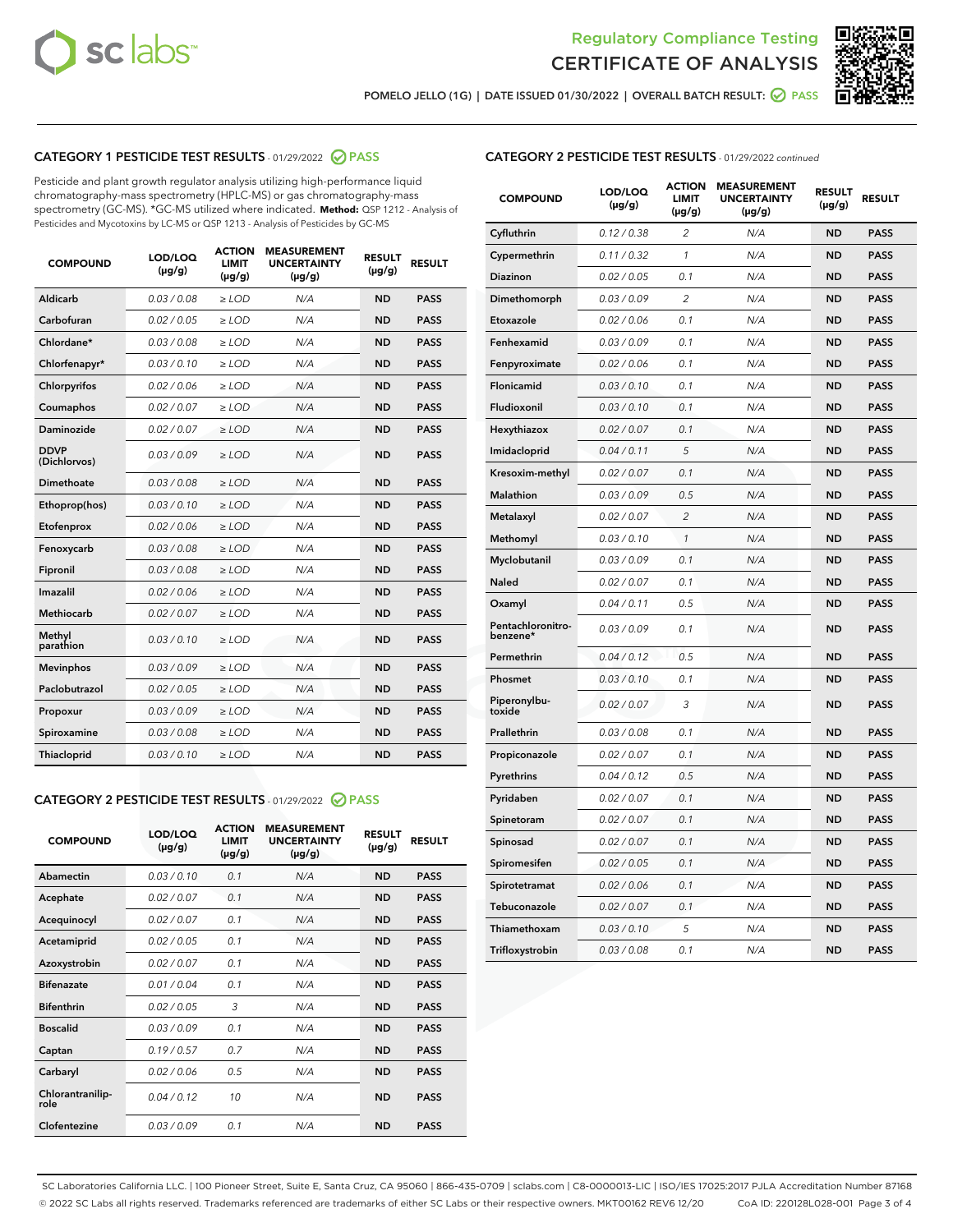



POMELO JELLO (1G) | DATE ISSUED 01/30/2022 | OVERALL BATCH RESULT:  $\bigcirc$  PASS

# CATEGORY 1 PESTICIDE TEST RESULTS - 01/29/2022 2 PASS

Pesticide and plant growth regulator analysis utilizing high-performance liquid chromatography-mass spectrometry (HPLC-MS) or gas chromatography-mass spectrometry (GC-MS). \*GC-MS utilized where indicated. **Method:** QSP 1212 - Analysis of Pesticides and Mycotoxins by LC-MS or QSP 1213 - Analysis of Pesticides by GC-MS

| <b>COMPOUND</b>             | LOD/LOQ<br>$(\mu g/g)$ | <b>ACTION</b><br><b>LIMIT</b><br>$(\mu g/g)$ | <b>MEASUREMENT</b><br><b>UNCERTAINTY</b><br>$(\mu g/g)$ | <b>RESULT</b><br>$(\mu g/g)$ | <b>RESULT</b> |
|-----------------------------|------------------------|----------------------------------------------|---------------------------------------------------------|------------------------------|---------------|
| Aldicarb                    | 0.03 / 0.08            | $\ge$ LOD                                    | N/A                                                     | <b>ND</b>                    | <b>PASS</b>   |
| Carbofuran                  | 0.02/0.05              | $>$ LOD                                      | N/A                                                     | <b>ND</b>                    | <b>PASS</b>   |
| Chlordane*                  | 0.03 / 0.08            | $\ge$ LOD                                    | N/A                                                     | <b>ND</b>                    | <b>PASS</b>   |
| Chlorfenapyr*               | 0.03/0.10              | $>$ LOD                                      | N/A                                                     | <b>ND</b>                    | <b>PASS</b>   |
| Chlorpyrifos                | 0.02 / 0.06            | $\geq$ LOD                                   | N/A                                                     | <b>ND</b>                    | <b>PASS</b>   |
| Coumaphos                   | 0.02 / 0.07            | $\ge$ LOD                                    | N/A                                                     | <b>ND</b>                    | <b>PASS</b>   |
| Daminozide                  | 0.02 / 0.07            | $\ge$ LOD                                    | N/A                                                     | <b>ND</b>                    | <b>PASS</b>   |
| <b>DDVP</b><br>(Dichlorvos) | 0.03/0.09              | $\ge$ LOD                                    | N/A                                                     | <b>ND</b>                    | <b>PASS</b>   |
| Dimethoate                  | 0.03/0.08              | $>$ LOD                                      | N/A                                                     | <b>ND</b>                    | <b>PASS</b>   |
| Ethoprop(hos)               | 0.03/0.10              | $\ge$ LOD                                    | N/A                                                     | <b>ND</b>                    | <b>PASS</b>   |
| Etofenprox                  | 0.02 / 0.06            | $\ge$ LOD                                    | N/A                                                     | <b>ND</b>                    | <b>PASS</b>   |
| Fenoxycarb                  | 0.03 / 0.08            | $\ge$ LOD                                    | N/A                                                     | <b>ND</b>                    | <b>PASS</b>   |
| Fipronil                    | 0.03/0.08              | $>$ LOD                                      | N/A                                                     | <b>ND</b>                    | <b>PASS</b>   |
| Imazalil                    | 0.02 / 0.06            | $\ge$ LOD                                    | N/A                                                     | <b>ND</b>                    | <b>PASS</b>   |
| Methiocarb                  | 0.02 / 0.07            | $\ge$ LOD                                    | N/A                                                     | <b>ND</b>                    | <b>PASS</b>   |
| Methyl<br>parathion         | 0.03/0.10              | $\ge$ LOD                                    | N/A                                                     | <b>ND</b>                    | <b>PASS</b>   |
| <b>Mevinphos</b>            | 0.03/0.09              | $>$ LOD                                      | N/A                                                     | <b>ND</b>                    | <b>PASS</b>   |
| Paclobutrazol               | 0.02 / 0.05            | $\ge$ LOD                                    | N/A                                                     | <b>ND</b>                    | <b>PASS</b>   |
| Propoxur                    | 0.03/0.09              | $\ge$ LOD                                    | N/A                                                     | <b>ND</b>                    | <b>PASS</b>   |
| Spiroxamine                 | 0.03 / 0.08            | $\ge$ LOD                                    | N/A                                                     | <b>ND</b>                    | <b>PASS</b>   |
| Thiacloprid                 | 0.03/0.10              | $\ge$ LOD                                    | N/A                                                     | <b>ND</b>                    | <b>PASS</b>   |

#### CATEGORY 2 PESTICIDE TEST RESULTS - 01/29/2022 2 PASS

| <b>COMPOUND</b>          | LOD/LOO<br>$(\mu g/g)$ | <b>ACTION</b><br>LIMIT<br>$(\mu g/g)$ | <b>MEASUREMENT</b><br><b>UNCERTAINTY</b><br>$(\mu g/g)$ | <b>RESULT</b><br>$(\mu g/g)$ | <b>RESULT</b> |  |
|--------------------------|------------------------|---------------------------------------|---------------------------------------------------------|------------------------------|---------------|--|
| Abamectin                | 0.03/0.10              | 0.1                                   | N/A                                                     | <b>ND</b>                    | <b>PASS</b>   |  |
| Acephate                 | 0.02/0.07              | 0.1                                   | N/A                                                     | <b>ND</b>                    | <b>PASS</b>   |  |
| Acequinocyl              | 0.02/0.07              | 0.1                                   | N/A                                                     | <b>ND</b>                    | <b>PASS</b>   |  |
| Acetamiprid              | 0.02 / 0.05            | 0.1                                   | N/A                                                     | <b>ND</b>                    | <b>PASS</b>   |  |
| Azoxystrobin             | 0.02/0.07              | 0.1                                   | N/A                                                     | <b>ND</b>                    | <b>PASS</b>   |  |
| <b>Bifenazate</b>        | 0.01 / 0.04            | 0.1                                   | N/A                                                     | <b>ND</b>                    | <b>PASS</b>   |  |
| <b>Bifenthrin</b>        | 0.02 / 0.05            | 3                                     | N/A                                                     | <b>ND</b>                    | <b>PASS</b>   |  |
| <b>Boscalid</b>          | 0.03/0.09              | 0.1                                   | N/A                                                     | <b>ND</b>                    | <b>PASS</b>   |  |
| Captan                   | 0.19/0.57              | 0.7                                   | N/A                                                     | <b>ND</b>                    | <b>PASS</b>   |  |
| Carbaryl                 | 0.02/0.06              | 0.5                                   | N/A                                                     | <b>ND</b>                    | <b>PASS</b>   |  |
| Chlorantranilip-<br>role | 0.04/0.12              | 10                                    | N/A                                                     | <b>ND</b>                    | <b>PASS</b>   |  |
| Clofentezine             | 0.03/0.09              | 0.1                                   | N/A                                                     | <b>ND</b>                    | <b>PASS</b>   |  |

| <b>CATEGORY 2 PESTICIDE TEST RESULTS</b> - 01/29/2022 continued |  |  |
|-----------------------------------------------------------------|--|--|
|                                                                 |  |  |

| <b>COMPOUND</b>               | LOD/LOQ<br>$(\mu g/g)$ | <b>ACTION</b><br>LIMIT<br>(µg/g) | <b>MEASUREMENT</b><br><b>UNCERTAINTY</b><br>(µg/g) | <b>RESULT</b><br>$(\mu g/g)$ | <b>RESULT</b> |
|-------------------------------|------------------------|----------------------------------|----------------------------------------------------|------------------------------|---------------|
| Cyfluthrin                    | 0.12 / 0.38            | $\overline{2}$                   | N/A                                                | <b>ND</b>                    | <b>PASS</b>   |
| Cypermethrin                  | 0.11/0.32              | 1                                | N/A                                                | <b>ND</b>                    | <b>PASS</b>   |
| Diazinon                      | 0.02 / 0.05            | 0.1                              | N/A                                                | <b>ND</b>                    | <b>PASS</b>   |
| Dimethomorph                  | 0.03 / 0.09            | $\overline{2}$                   | N/A                                                | <b>ND</b>                    | <b>PASS</b>   |
| Etoxazole                     | 0.02 / 0.06            | 0.1                              | N/A                                                | <b>ND</b>                    | <b>PASS</b>   |
| Fenhexamid                    | 0.03 / 0.09            | 0.1                              | N/A                                                | <b>ND</b>                    | <b>PASS</b>   |
| Fenpyroximate                 | 0.02 / 0.06            | 0.1                              | N/A                                                | <b>ND</b>                    | <b>PASS</b>   |
| Flonicamid                    | 0.03 / 0.10            | 0.1                              | N/A                                                | <b>ND</b>                    | <b>PASS</b>   |
| Fludioxonil                   | 0.03 / 0.10            | 0.1                              | N/A                                                | <b>ND</b>                    | <b>PASS</b>   |
| Hexythiazox                   | 0.02 / 0.07            | 0.1                              | N/A                                                | <b>ND</b>                    | <b>PASS</b>   |
| Imidacloprid                  | 0.04 / 0.11            | 5                                | N/A                                                | <b>ND</b>                    | <b>PASS</b>   |
| Kresoxim-methyl               | 0.02 / 0.07            | 0.1                              | N/A                                                | <b>ND</b>                    | <b>PASS</b>   |
| Malathion                     | 0.03 / 0.09            | 0.5                              | N/A                                                | <b>ND</b>                    | <b>PASS</b>   |
| Metalaxyl                     | 0.02 / 0.07            | $\overline{c}$                   | N/A                                                | <b>ND</b>                    | <b>PASS</b>   |
| Methomyl                      | 0.03 / 0.10            | 1                                | N/A                                                | <b>ND</b>                    | <b>PASS</b>   |
| Myclobutanil                  | 0.03 / 0.09            | 0.1                              | N/A                                                | <b>ND</b>                    | <b>PASS</b>   |
| Naled                         | 0.02 / 0.07            | 0.1                              | N/A                                                | <b>ND</b>                    | <b>PASS</b>   |
| Oxamyl                        | 0.04 / 0.11            | 0.5                              | N/A                                                | ND                           | <b>PASS</b>   |
| Pentachloronitro-<br>benzene* | 0.03 / 0.09            | 0.1                              | N/A                                                | <b>ND</b>                    | <b>PASS</b>   |
| Permethrin                    | 0.04/0.12              | 0.5                              | N/A                                                | <b>ND</b>                    | <b>PASS</b>   |
| Phosmet                       | 0.03 / 0.10            | 0.1                              | N/A                                                | <b>ND</b>                    | <b>PASS</b>   |
| Piperonylbu-<br>toxide        | 0.02 / 0.07            | 3                                | N/A                                                | <b>ND</b>                    | <b>PASS</b>   |
| Prallethrin                   | 0.03 / 0.08            | 0.1                              | N/A                                                | <b>ND</b>                    | <b>PASS</b>   |
| Propiconazole                 | 0.02 / 0.07            | 0.1                              | N/A                                                | <b>ND</b>                    | <b>PASS</b>   |
| Pyrethrins                    | 0.04 / 0.12            | 0.5                              | N/A                                                | <b>ND</b>                    | <b>PASS</b>   |
| Pyridaben                     | 0.02 / 0.07            | 0.1                              | N/A                                                | <b>ND</b>                    | <b>PASS</b>   |
| Spinetoram                    | 0.02 / 0.07            | 0.1                              | N/A                                                | <b>ND</b>                    | <b>PASS</b>   |
| Spinosad                      | 0.02 / 0.07            | 0.1                              | N/A                                                | <b>ND</b>                    | <b>PASS</b>   |
| Spiromesifen                  | 0.02 / 0.05            | 0.1                              | N/A                                                | ND                           | <b>PASS</b>   |
| Spirotetramat                 | 0.02 / 0.06            | 0.1                              | N/A                                                | <b>ND</b>                    | <b>PASS</b>   |
| Tebuconazole                  | 0.02 / 0.07            | 0.1                              | N/A                                                | <b>ND</b>                    | <b>PASS</b>   |
| Thiamethoxam                  | 0.03 / 0.10            | 5                                | N/A                                                | <b>ND</b>                    | <b>PASS</b>   |
| Trifloxystrobin               | 0.03 / 0.08            | 0.1                              | N/A                                                | <b>ND</b>                    | <b>PASS</b>   |

SC Laboratories California LLC. | 100 Pioneer Street, Suite E, Santa Cruz, CA 95060 | 866-435-0709 | sclabs.com | C8-0000013-LIC | ISO/IES 17025:2017 PJLA Accreditation Number 87168 © 2022 SC Labs all rights reserved. Trademarks referenced are trademarks of either SC Labs or their respective owners. MKT00162 REV6 12/20 CoA ID: 220128L028-001 Page 3 of 4